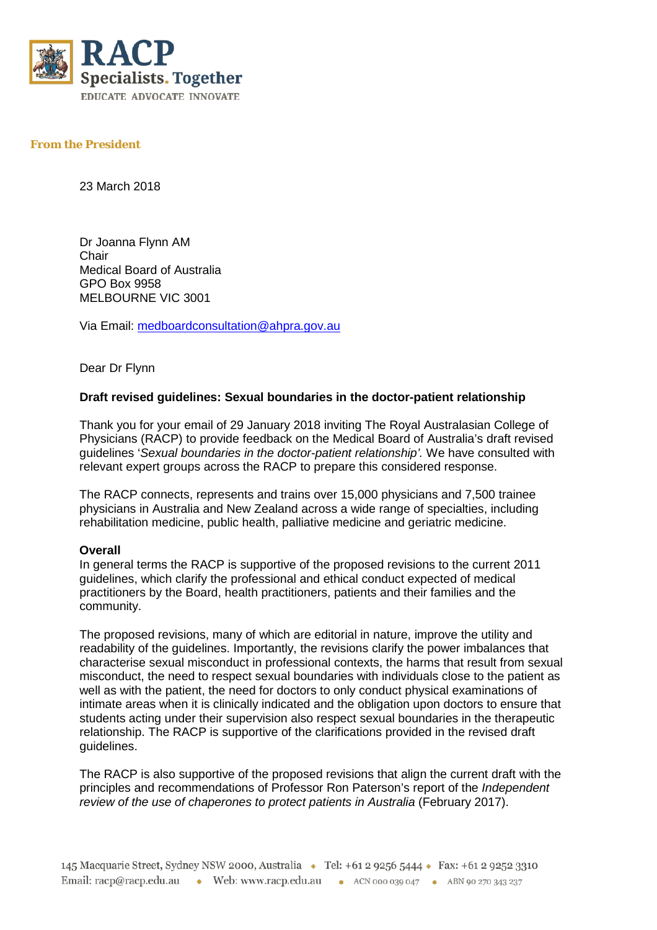

## **From the President**

23 March 2018

Dr Joanna Flynn AM Chair Medical Board of Australia GPO Box 9958 MELBOURNE VIC 3001

Via Email: [medboardconsultation@ahpra.gov.au](mailto:medboardconsultation@ahpra.gov.au)

Dear Dr Flynn

## **Draft revised guidelines: Sexual boundaries in the doctor-patient relationship**

Thank you for your email of 29 January 2018 inviting The Royal Australasian College of Physicians (RACP) to provide feedback on the Medical Board of Australia's draft revised guidelines '*Sexual boundaries in the doctor-patient relationship'.* We have consulted with relevant expert groups across the RACP to prepare this considered response.

The RACP connects, represents and trains over 15,000 physicians and 7,500 trainee physicians in Australia and New Zealand across a wide range of specialties, including rehabilitation medicine, public health, palliative medicine and geriatric medicine.

## **Overall**

In general terms the RACP is supportive of the proposed revisions to the current 2011 guidelines, which clarify the professional and ethical conduct expected of medical practitioners by the Board, health practitioners, patients and their families and the community.

The proposed revisions, many of which are editorial in nature, improve the utility and readability of the guidelines. Importantly, the revisions clarify the power imbalances that characterise sexual misconduct in professional contexts, the harms that result from sexual misconduct, the need to respect sexual boundaries with individuals close to the patient as well as with the patient, the need for doctors to only conduct physical examinations of intimate areas when it is clinically indicated and the obligation upon doctors to ensure that students acting under their supervision also respect sexual boundaries in the therapeutic relationship. The RACP is supportive of the clarifications provided in the revised draft guidelines.

The RACP is also supportive of the proposed revisions that align the current draft with the principles and recommendations of Professor Ron Paterson's report of the *Independent review of the use of chaperones to protect patients in Australia* (February 2017).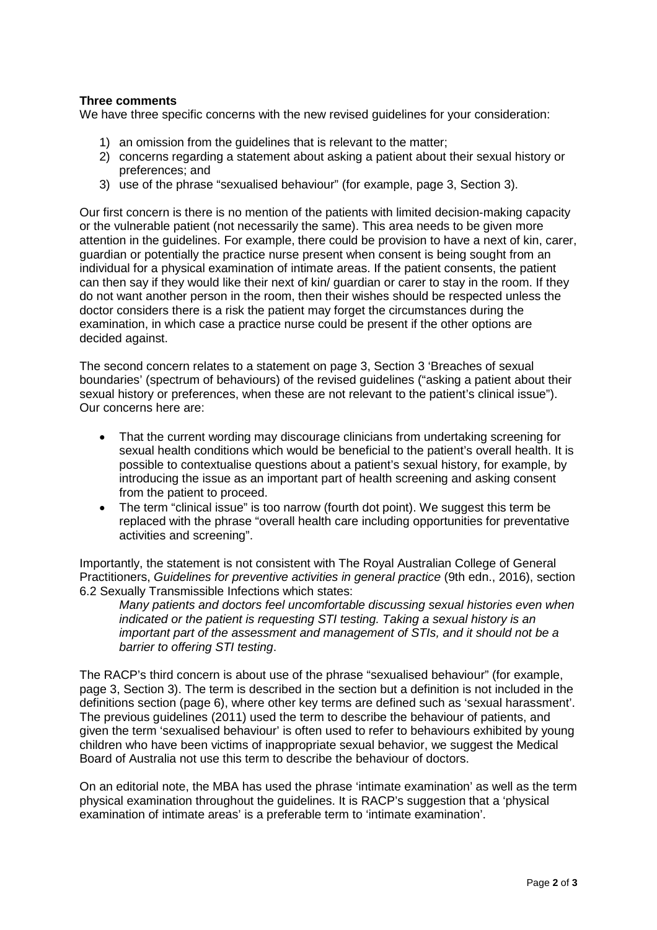## **Three comments**

We have three specific concerns with the new revised guidelines for your consideration:

- 1) an omission from the guidelines that is relevant to the matter;
- 2) concerns regarding a statement about asking a patient about their sexual history or preferences; and
- 3) use of the phrase "sexualised behaviour" (for example, page 3, Section 3).

Our first concern is there is no mention of the patients with limited decision-making capacity or the vulnerable patient (not necessarily the same). This area needs to be given more attention in the guidelines. For example, there could be provision to have a next of kin, carer, guardian or potentially the practice nurse present when consent is being sought from an individual for a physical examination of intimate areas. If the patient consents, the patient can then say if they would like their next of kin/ guardian or carer to stay in the room. If they do not want another person in the room, then their wishes should be respected unless the doctor considers there is a risk the patient may forget the circumstances during the examination, in which case a practice nurse could be present if the other options are decided against.

The second concern relates to a statement on page 3, Section 3 'Breaches of sexual boundaries' (spectrum of behaviours) of the revised guidelines ("asking a patient about their sexual history or preferences, when these are not relevant to the patient's clinical issue"). Our concerns here are:

- That the current wording may discourage clinicians from undertaking screening for sexual health conditions which would be beneficial to the patient's overall health. It is possible to contextualise questions about a patient's sexual history, for example, by introducing the issue as an important part of health screening and asking consent from the patient to proceed.
- The term "clinical issue" is too narrow (fourth dot point). We suggest this term be replaced with the phrase "overall health care including opportunities for preventative activities and screening".

Importantly, the statement is not consistent with The Royal Australian College of General Practitioners, *Guidelines for preventive activities in general practice* (9th edn., 2016), section 6.2 Sexually Transmissible Infections which states:

*Many patients and doctors feel uncomfortable discussing sexual histories even when indicated or the patient is requesting STI testing. Taking a sexual history is an important part of the assessment and management of STIs, and it should not be a barrier to offering STI testing*.

The RACP's third concern is about use of the phrase "sexualised behaviour" (for example, page 3, Section 3). The term is described in the section but a definition is not included in the definitions section (page 6), where other key terms are defined such as 'sexual harassment'. The previous guidelines (2011) used the term to describe the behaviour of patients, and given the term 'sexualised behaviour' is often used to refer to behaviours exhibited by young children who have been victims of inappropriate sexual behavior, we suggest the Medical Board of Australia not use this term to describe the behaviour of doctors.

On an editorial note, the MBA has used the phrase 'intimate examination' as well as the term physical examination throughout the guidelines. It is RACP's suggestion that a 'physical examination of intimate areas' is a preferable term to 'intimate examination'.